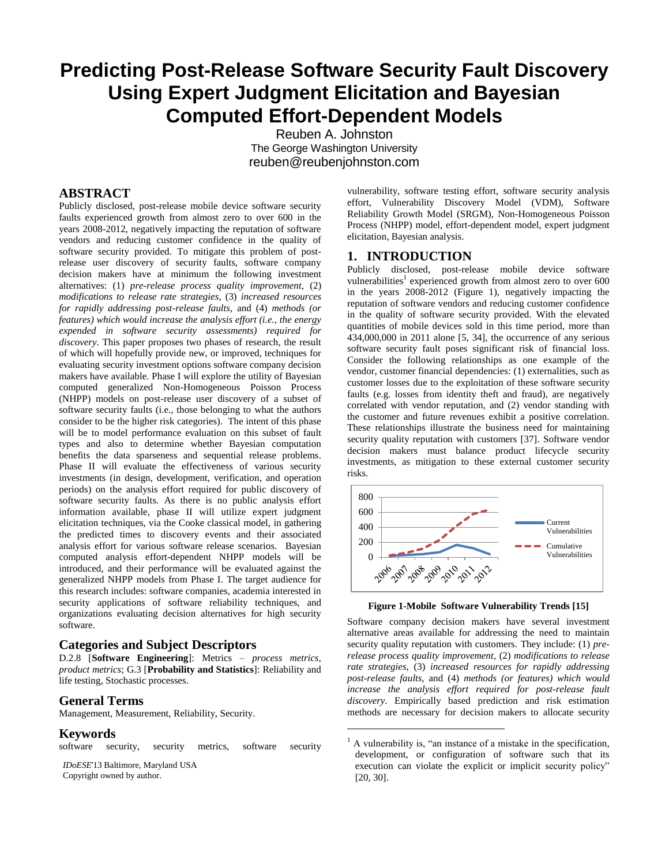# **Predicting Post-Release Software Security Fault Discovery Using Expert Judgment Elicitation and Bayesian Computed Effort-Dependent Models**

Reuben A. Johnston The George Washington University [reuben@reubenjohnston.com](mailto:reuben@reubenjohnston.com)

 $\overline{a}$ 

# **ABSTRACT**

Publicly disclosed, post-release mobile device software security faults experienced growth from almost zero to over 600 in the years 2008-2012, negatively impacting the reputation of software vendors and reducing customer confidence in the quality of software security provided. To mitigate this problem of postrelease user discovery of security faults, software company decision makers have at minimum the following investment alternatives: (1) *pre-release process quality improvement*, (2) *modifications to release rate strategies*, (3) *increased resources for rapidly addressing post-release faults*, and (4) *methods (or features) which would increase the analysis effort (i.e., the energy expended in software security assessments) required for discovery*. This paper proposes two phases of research, the result of which will hopefully provide new, or improved, techniques for evaluating security investment options software company decision makers have available. Phase I will explore the utility of Bayesian computed generalized Non-Homogeneous Poisson Process (NHPP) models on post-release user discovery of a subset of software security faults (i.e., those belonging to what the authors consider to be the higher risk categories). The intent of this phase will be to model performance evaluation on this subset of fault types and also to determine whether Bayesian computation benefits the data sparseness and sequential release problems. Phase II will evaluate the effectiveness of various security investments (in design, development, verification, and operation periods) on the analysis effort required for public discovery of software security faults. As there is no public analysis effort information available, phase II will utilize expert judgment elicitation techniques, via the Cooke classical model, in gathering the predicted times to discovery events and their associated analysis effort for various software release scenarios. Bayesian computed analysis effort-dependent NHPP models will be introduced, and their performance will be evaluated against the generalized NHPP models from Phase I. The target audience for this research includes: software companies, academia interested in security applications of software reliability techniques, and organizations evaluating decision alternatives for high security software.

## **Categories and Subject Descriptors**

D.2.8 [**Software Engineering**]: Metrics – *process metrics, product metrics*; G.3 [**Probability and Statistics**]: Reliability and life testing, Stochastic processes.

## **General Terms**

Management, Measurement, Reliability, Security.

#### **Keywords**

software security, security metrics, software security

*IDoESE*'13 Baltimore, Maryland USA Copyright owned by author.

vulnerability, software testing effort, software security analysis effort, Vulnerability Discovery Model (VDM), Software Reliability Growth Model (SRGM), Non-Homogeneous Poisson Process (NHPP) model, effort-dependent model, expert judgment elicitation, Bayesian analysis.

## **1. INTRODUCTION**

Publicly disclosed, post-release mobile device software vulnerabilities<sup>1</sup> experienced growth from almost zero to over 600 in the years 2008-2012 [\(Figure 1\)](#page-0-0), negatively impacting the reputation of software vendors and reducing customer confidence in the quality of software security provided. With the elevated quantities of mobile devices sold in this time period, more than 434,000,000 in 2011 alone [\[5,](#page-6-0) [34\]](#page-7-0), the occurrence of any serious software security fault poses significant risk of financial loss. Consider the following relationships as one example of the vendor, customer financial dependencies: (1) externalities, such as customer losses due to the exploitation of these software security faults (e.g. losses from identity theft and fraud), are negatively correlated with vendor reputation, and (2) vendor standing with the customer and future revenues exhibit a positive correlation. These relationships illustrate the business need for maintaining security quality reputation with customers [\[37\]](#page-7-1). Software vendor decision makers must balance product lifecycle security investments, as mitigation to these external customer security risks.



#### **Figure 1-Mobile Software Vulnerability Trends [\[15\]](#page-7-2)**

<span id="page-0-0"></span>Software company decision makers have several investment alternative areas available for addressing the need to maintain security quality reputation with customers. They include: (1) *prerelease process quality improvement*, (2) *modifications to release rate strategies*, (3) *increased resources for rapidly addressing post-release faults*, and (4) *methods (or features) which would increase the analysis effort required for post-release fault discovery*. Empirically based prediction and risk estimation methods are necessary for decision makers to allocate security

 $<sup>1</sup>$  A vulnerability is, "an instance of a mistake in the specification,</sup> development, or configuration of software such that its execution can violate the explicit or implicit security policy" [\[20,](#page-7-3) [30\]](#page-7-4).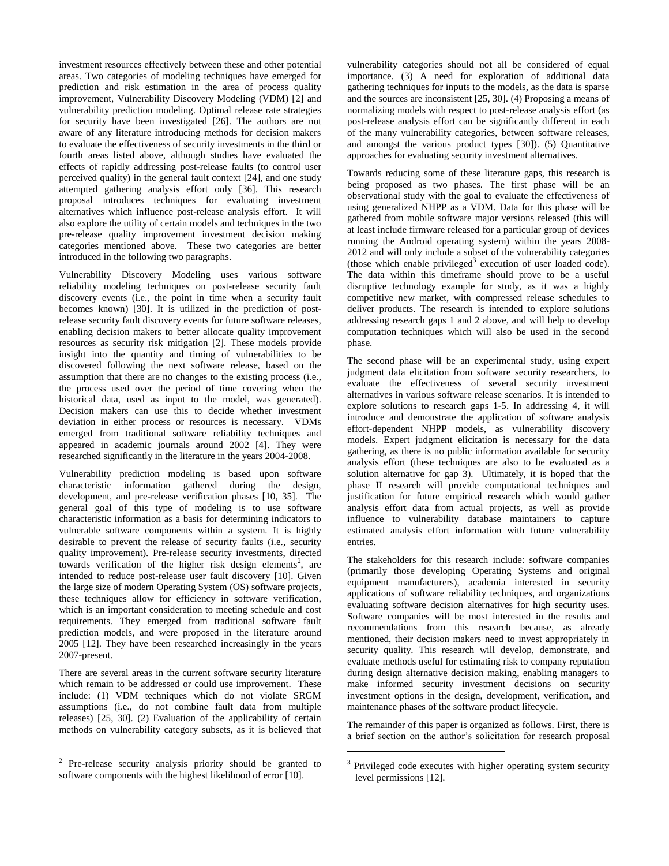investment resources effectively between these and other potential areas. Two categories of modeling techniques have emerged for prediction and risk estimation in the area of process quality improvement, Vulnerability Discovery Modeling (VDM) [\[2\]](#page-6-1) and vulnerability prediction modeling. Optimal release rate strategies for security have been investigated [\[26\]](#page-7-5). The authors are not aware of any literature introducing methods for decision makers to evaluate the effectiveness of security investments in the third or fourth areas listed above, although studies have evaluated the effects of rapidly addressing post-release faults (to control user perceived quality) in the general fault context [\[24\]](#page-7-6), and one study attempted gathering analysis effort only [\[36\]](#page-7-7). This research proposal introduces techniques for evaluating investment alternatives which influence post-release analysis effort. It will also explore the utility of certain models and techniques in the two pre-release quality improvement investment decision making categories mentioned above. These two categories are better introduced in the following two paragraphs.

Vulnerability Discovery Modeling uses various software reliability modeling techniques on post-release security fault discovery events (i.e., the point in time when a security fault becomes known) [\[30\]](#page-7-4). It is utilized in the prediction of postrelease security fault discovery events for future software releases, enabling decision makers to better allocate quality improvement resources as security risk mitigation [\[2\]](#page-6-1). These models provide insight into the quantity and timing of vulnerabilities to be discovered following the next software release, based on the assumption that there are no changes to the existing process (i.e., the process used over the period of time covering when the historical data, used as input to the model, was generated). Decision makers can use this to decide whether investment deviation in either process or resources is necessary. VDMs emerged from traditional software reliability techniques and appeared in academic journals around 2002 [\[4\]](#page-6-2). They were researched significantly in the literature in the years 2004-2008.

Vulnerability prediction modeling is based upon software characteristic information gathered during the design, development, and pre-release verification phases [\[10,](#page-6-3) [35\]](#page-7-8). The general goal of this type of modeling is to use software characteristic information as a basis for determining indicators to vulnerable software components within a system. It is highly desirable to prevent the release of security faults (i.e., security quality improvement). Pre-release security investments, directed towards verification of the higher risk design elements<sup>2</sup>, are intended to reduce post-release user fault discovery [\[10\]](#page-6-3). Given the large size of modern Operating System (OS) software projects, these techniques allow for efficiency in software verification, which is an important consideration to meeting schedule and cost requirements. They emerged from traditional software fault prediction models, and were proposed in the literature around 2005 [\[12\]](#page-7-9). They have been researched increasingly in the years 2007-present.

There are several areas in the current software security literature which remain to be addressed or could use improvement. These include: (1) VDM techniques which do not violate SRGM assumptions (i.e., do not combine fault data from multiple releases) [\[25,](#page-7-10) [30\]](#page-7-4). (2) Evaluation of the applicability of certain methods on vulnerability category subsets, as it is believed that

 $\overline{a}$ 

vulnerability categories should not all be considered of equal importance. (3) A need for exploration of additional data gathering techniques for inputs to the models, as the data is sparse and the sources are inconsistent [\[25,](#page-7-10) [30\]](#page-7-4). (4) Proposing a means of normalizing models with respect to post-release analysis effort (as post-release analysis effort can be significantly different in each of the many vulnerability categories, between software releases, and amongst the various product types [\[30\]](#page-7-4)). (5) Quantitative approaches for evaluating security investment alternatives.

Towards reducing some of these literature gaps, this research is being proposed as two phases. The first phase will be an observational study with the goal to evaluate the effectiveness of using generalized NHPP as a VDM. Data for this phase will be gathered from mobile software major versions released (this will at least include firmware released for a particular group of devices running the Android operating system) within the years 2008- 2012 and will only include a subset of the vulnerability categories (those which enable privileged<sup>3</sup> execution of user loaded code). The data within this timeframe should prove to be a useful disruptive technology example for study, as it was a highly competitive new market, with compressed release schedules to deliver products. The research is intended to explore solutions addressing research gaps 1 and 2 above, and will help to develop computation techniques which will also be used in the second phase.

The second phase will be an experimental study, using expert judgment data elicitation from software security researchers, to evaluate the effectiveness of several security investment alternatives in various software release scenarios. It is intended to explore solutions to research gaps 1-5. In addressing 4, it will introduce and demonstrate the application of software analysis effort-dependent NHPP models, as vulnerability discovery models. Expert judgment elicitation is necessary for the data gathering, as there is no public information available for security analysis effort (these techniques are also to be evaluated as a solution alternative for gap 3). Ultimately, it is hoped that the phase II research will provide computational techniques and justification for future empirical research which would gather analysis effort data from actual projects, as well as provide influence to vulnerability database maintainers to capture estimated analysis effort information with future vulnerability entries.

The stakeholders for this research include: software companies (primarily those developing Operating Systems and original equipment manufacturers), academia interested in security applications of software reliability techniques, and organizations evaluating software decision alternatives for high security uses. Software companies will be most interested in the results and recommendations from this research because, as already mentioned, their decision makers need to invest appropriately in security quality. This research will develop, demonstrate, and evaluate methods useful for estimating risk to company reputation during design alternative decision making, enabling managers to make informed security investment decisions on security investment options in the design, development, verification, and maintenance phases of the software product lifecycle.

The remainder of this paper is organized as follows. First, there is a brief section on the author's solicitation for research proposal

l

 $2$  Pre-release security analysis priority should be granted to software components with the highest likelihood of error [\[10\]](#page-6-3).

<sup>&</sup>lt;sup>3</sup> Privileged code executes with higher operating system security level permissions [\[12\]](#page-7-9).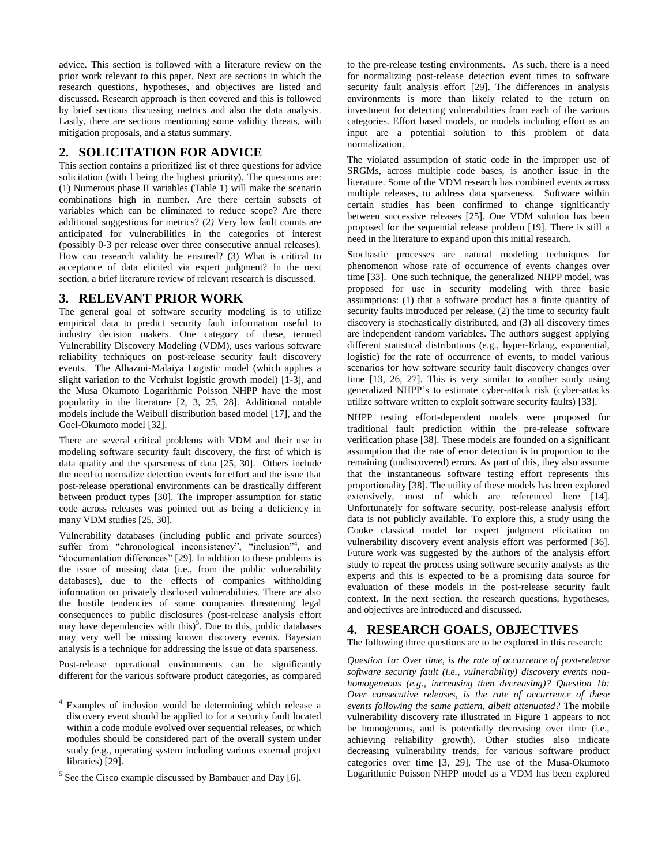advice. This section is followed with a literature review on the prior work relevant to this paper. Next are sections in which the research questions, hypotheses, and objectives are listed and discussed. Research approach is then covered and this is followed by brief sections discussing metrics and also the data analysis. Lastly, there are sections mentioning some validity threats, with mitigation proposals, and a status summary.

# **2. SOLICITATION FOR ADVICE**

This section contains a prioritized list of three questions for advice solicitation (with l being the highest priority). The questions are: (1) Numerous phase II variables [\(Table 1\)](#page-5-0) will make the scenario combinations high in number. Are there certain subsets of variables which can be eliminated to reduce scope? Are there additional suggestions for metrics? (2*)* Very low fault counts are anticipated for vulnerabilities in the categories of interest (possibly 0-3 per release over three consecutive annual releases). How can research validity be ensured? (3) What is critical to acceptance of data elicited via expert judgment? In the next section, a brief literature review of relevant research is discussed.

# **3. RELEVANT PRIOR WORK**

The general goal of software security modeling is to utilize empirical data to predict security fault information useful to industry decision makers. One category of these, termed Vulnerability Discovery Modeling (VDM), uses various software reliability techniques on post-release security fault discovery events. The Alhazmi-Malaiya Logistic model (which applies a slight variation to the Verhulst logistic growth model) [\[1-3\]](#page-6-4), and the Musa Okumoto Logarithmic Poisson NHPP have the most popularity in the literature [\[2,](#page-6-1) [3,](#page-6-5) [25,](#page-7-10) [28\]](#page-7-11). Additional notable models include the Weibull distribution based model [\[17\]](#page-7-12), and the Goel-Okumoto model [\[32\]](#page-7-13).

There are several critical problems with VDM and their use in modeling software security fault discovery, the first of which is data quality and the sparseness of data [\[25,](#page-7-10) [30\]](#page-7-4). Others include the need to normalize detection events for effort and the issue that post-release operational environments can be drastically different between product types [\[30\]](#page-7-4). The improper assumption for static code across releases was pointed out as being a deficiency in many VDM studies [\[25,](#page-7-10) [30\]](#page-7-4).

Vulnerability databases (including public and private sources) suffer from "chronological inconsistency", "inclusion"<sup>4</sup>, and "documentation differences" [\[29\]](#page-7-14). In addition to these problems is the issue of missing data (i.e., from the public vulnerability databases), due to the effects of companies withholding information on privately disclosed vulnerabilities. There are also the hostile tendencies of some companies threatening legal consequences to public disclosures (post-release analysis effort may have dependencies with this)<sup>5</sup>. Due to this, public databases may very well be missing known discovery events. Bayesian analysis is a technique for addressing the issue of data sparseness.

Post-release operational environments can be significantly different for the various software product categories, as compared

l

to the pre-release testing environments. As such, there is a need for normalizing post-release detection event times to software security fault analysis effort [\[29\]](#page-7-14). The differences in analysis environments is more than likely related to the return on investment for detecting vulnerabilities from each of the various categories. Effort based models, or models including effort as an input are a potential solution to this problem of data normalization.

The violated assumption of static code in the improper use of SRGMs, across multiple code bases, is another issue in the literature. Some of the VDM research has combined events across multiple releases, to address data sparseness. Software within certain studies has been confirmed to change significantly between successive releases [\[25\]](#page-7-10). One VDM solution has been proposed for the sequential release problem [\[19\]](#page-7-15). There is still a need in the literature to expand upon this initial research.

Stochastic processes are natural modeling techniques for phenomenon whose rate of occurrence of events changes over time [\[33\]](#page-7-16). One such technique, the generalized NHPP model, was proposed for use in security modeling with three basic assumptions: (1) that a software product has a finite quantity of security faults introduced per release, (2) the time to security fault discovery is stochastically distributed, and (3) all discovery times are independent random variables. The authors suggest applying different statistical distributions (e.g., hyper-Erlang, exponential, logistic) for the rate of occurrence of events, to model various scenarios for how software security fault discovery changes over time [\[13,](#page-7-17) [26,](#page-7-5) [27\]](#page-7-18). This is very similar to another study using generalized NHPP's to estimate cyber-attack risk (cyber-attacks utilize software written to exploit software security faults) [\[33\]](#page-7-16).

NHPP testing effort-dependent models were proposed for traditional fault prediction within the pre-release software verification phase [\[38\]](#page-7-19). These models are founded on a significant assumption that the rate of error detection is in proportion to the remaining (undiscovered) errors. As part of this, they also assume that the instantaneous software testing effort represents this proportionality [\[38\]](#page-7-19). The utility of these models has been explored extensively, most of which are referenced here [\[14\]](#page-7-20). Unfortunately for software security, post-release analysis effort data is not publicly available. To explore this, a study using the Cooke classical model for expert judgment elicitation on vulnerability discovery event analysis effort was performed [\[36\]](#page-7-7). Future work was suggested by the authors of the analysis effort study to repeat the process using software security analysts as the experts and this is expected to be a promising data source for evaluation of these models in the post-release security fault context. In the next section, the research questions, hypotheses, and objectives are introduced and discussed.

# **4. RESEARCH GOALS, OBJECTIVES**

The following three questions are to be explored in this research:

*Question 1a: Over time, is the rate of occurrence of post-release software security fault (i.e., vulnerability) discovery events nonhomogeneous (e.g., increasing then decreasing)? Question 1b: Over consecutive releases, is the rate of occurrence of these events following the same pattern, albeit attenuated?* The mobile vulnerability discovery rate illustrated in [Figure 1](#page-0-0) appears to not be homogenous, and is potentially decreasing over time (i.e., achieving reliability growth). Other studies also indicate decreasing vulnerability trends, for various software product categories over time [\[3,](#page-6-5) [29\]](#page-7-14). The use of the Musa-Okumoto Logarithmic Poisson NHPP model as a VDM has been explored

<sup>4</sup> Examples of inclusion would be determining which release a discovery event should be applied to for a security fault located within a code module evolved over sequential releases, or which modules should be considered part of the overall system under study (e.g., operating system including various external project libraries) [\[29\]](#page-7-14).

 $<sup>5</sup>$  See the Cisco example discussed by [Bambauer and Day \[6\]](#page-6-6).</sup>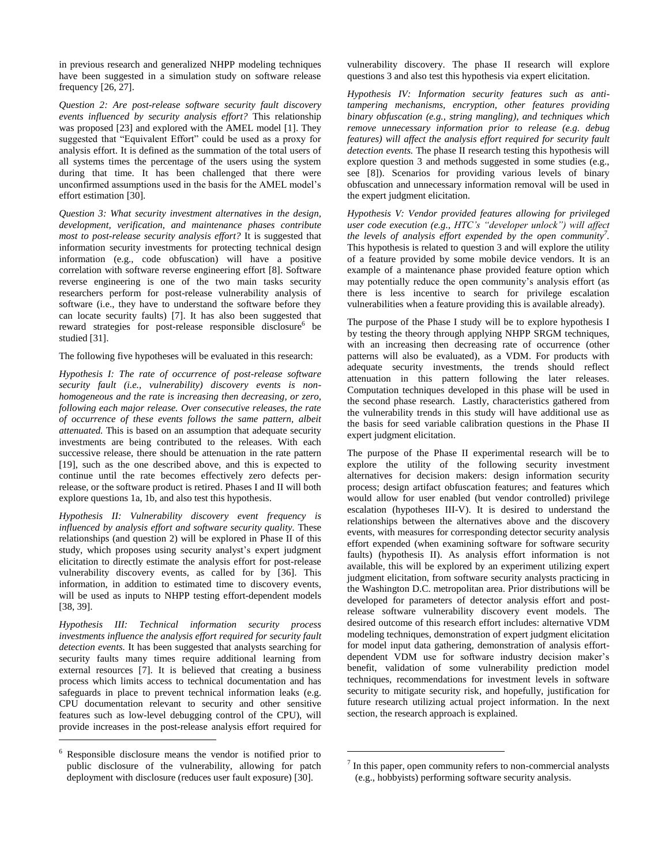in previous research and generalized NHPP modeling techniques have been suggested in a simulation study on software release frequency [\[26,](#page-7-5) [27\]](#page-7-18).

*Question 2: Are post-release software security fault discovery events influenced by security analysis effort?* This relationship was proposed [\[23\]](#page-7-21) and explored with the AMEL model [\[1\]](#page-6-4). They suggested that "Equivalent Effort" could be used as a proxy for analysis effort. It is defined as the summation of the total users of all systems times the percentage of the users using the system during that time. It has been challenged that there were unconfirmed assumptions used in the basis for the AMEL model's effort estimation [\[30\]](#page-7-4).

*Question 3: What security investment alternatives in the design, development, verification, and maintenance phases contribute most to post-release security analysis effort?* It is suggested that information security investments for protecting technical design information (e.g., code obfuscation) will have a positive correlation with software reverse engineering effort [\[8\]](#page-6-7). Software reverse engineering is one of the two main tasks security researchers perform for post-release vulnerability analysis of software (i.e., they have to understand the software before they can locate security faults) [\[7\]](#page-6-8). It has also been suggested that reward strategies for post-release responsible disclosure<sup>6</sup> be studied [\[31\]](#page-7-22).

The following five hypotheses will be evaluated in this research:

*Hypothesis I: The rate of occurrence of post-release software security fault (i.e., vulnerability) discovery events is nonhomogeneous and the rate is increasing then decreasing, or zero, following each major release. Over consecutive releases, the rate of occurrence of these events follows the same pattern, albeit attenuated.* This is based on an assumption that adequate security investments are being contributed to the releases. With each successive release, there should be attenuation in the rate pattern [\[19\]](#page-7-15), such as the one described above, and this is expected to continue until the rate becomes effectively zero defects perrelease, or the software product is retired. Phases I and II will both explore questions 1a, 1b, and also test this hypothesis.

*Hypothesis II: Vulnerability discovery event frequency is influenced by analysis effort and software security quality.* These relationships (and question 2) will be explored in Phase II of this study, which proposes using security analyst's expert judgment elicitation to directly estimate the analysis effort for post-release vulnerability discovery events, as called for by [\[36\]](#page-7-7). This information, in addition to estimated time to discovery events, will be used as inputs to NHPP testing effort-dependent models [\[38,](#page-7-19) [39\]](#page-7-23).

*Hypothesis III: Technical information security process investments influence the analysis effort required for security fault detection events.* It has been suggested that analysts searching for security faults many times require additional learning from external resources [\[7\]](#page-6-8). It is believed that creating a business process which limits access to technical documentation and has safeguards in place to prevent technical information leaks (e.g. CPU documentation relevant to security and other sensitive features such as low-level debugging control of the CPU), will provide increases in the post-release analysis effort required for

l

vulnerability discovery. The phase II research will explore questions 3 and also test this hypothesis via expert elicitation.

*Hypothesis IV: Information security features such as antitampering mechanisms, encryption, other features providing binary obfuscation (e.g., string mangling), and techniques which remove unnecessary information prior to release (e.g. debug features) will affect the analysis effort required for security fault detection events.* The phase II research testing this hypothesis will explore question 3 and methods suggested in some studies (e.g., see [\[8\]](#page-6-7)). Scenarios for providing various levels of binary obfuscation and unnecessary information removal will be used in the expert judgment elicitation.

*Hypothesis V: Vendor provided features allowing for privileged user code execution (e.g., HTC's "developer unlock") will affect the levels of analysis effort expended by the open community<sup>7</sup> .* This hypothesis is related to question 3 and will explore the utility of a feature provided by some mobile device vendors. It is an example of a maintenance phase provided feature option which may potentially reduce the open community's analysis effort (as there is less incentive to search for privilege escalation vulnerabilities when a feature providing this is available already).

The purpose of the Phase I study will be to explore hypothesis I by testing the theory through applying NHPP SRGM techniques, with an increasing then decreasing rate of occurrence (other patterns will also be evaluated), as a VDM. For products with adequate security investments, the trends should reflect attenuation in this pattern following the later releases. Computation techniques developed in this phase will be used in the second phase research. Lastly, characteristics gathered from the vulnerability trends in this study will have additional use as the basis for seed variable calibration questions in the Phase II expert judgment elicitation.

The purpose of the Phase II experimental research will be to explore the utility of the following security investment alternatives for decision makers: design information security process; design artifact obfuscation features; and features which would allow for user enabled (but vendor controlled) privilege escalation (hypotheses III-V). It is desired to understand the relationships between the alternatives above and the discovery events, with measures for corresponding detector security analysis effort expended (when examining software for software security faults) (hypothesis II). As analysis effort information is not available, this will be explored by an experiment utilizing expert judgment elicitation, from software security analysts practicing in the Washington D.C. metropolitan area. Prior distributions will be developed for parameters of detector analysis effort and postrelease software vulnerability discovery event models. The desired outcome of this research effort includes: alternative VDM modeling techniques, demonstration of expert judgment elicitation for model input data gathering, demonstration of analysis effortdependent VDM use for software industry decision maker's benefit, validation of some vulnerability prediction model techniques, recommendations for investment levels in software security to mitigate security risk, and hopefully, justification for future research utilizing actual project information. In the next section, the research approach is explained.

l

<sup>&</sup>lt;sup>6</sup> Responsible disclosure means the vendor is notified prior to public disclosure of the vulnerability, allowing for patch deployment with disclosure (reduces user fault exposure) [\[30\]](#page-7-4).

 $<sup>7</sup>$  In this paper, open community refers to non-commercial analysts</sup> (e.g., hobbyists) performing software security analysis.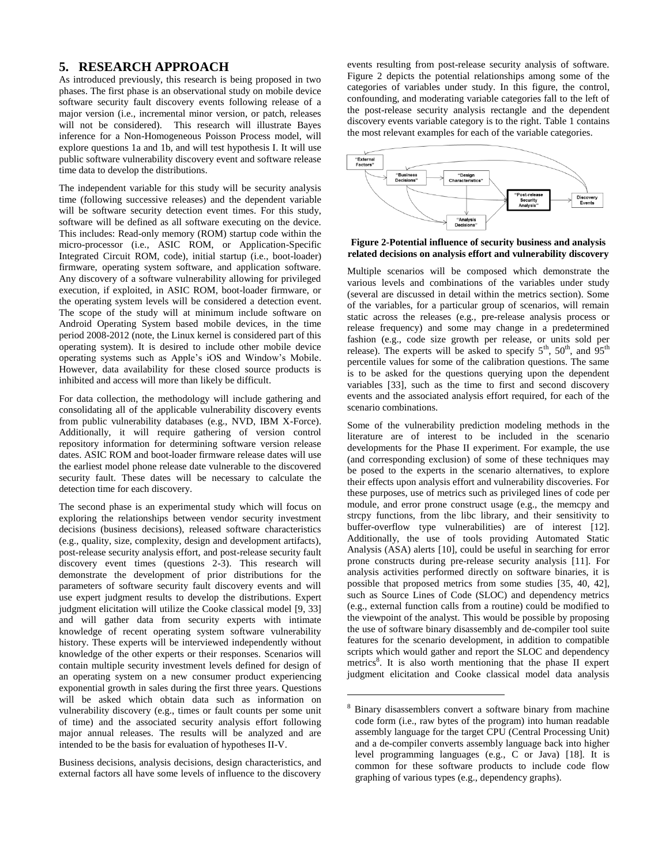## **5. RESEARCH APPROACH**

As introduced previously, this research is being proposed in two phases. The first phase is an observational study on mobile device software security fault discovery events following release of a major version (i.e., incremental minor version, or patch, releases will not be considered). This research will illustrate Bayes inference for a Non-Homogeneous Poisson Process model, will explore questions 1a and 1b, and will test hypothesis I. It will use public software vulnerability discovery event and software release time data to develop the distributions.

The independent variable for this study will be security analysis time (following successive releases) and the dependent variable will be software security detection event times. For this study, software will be defined as all software executing on the device. This includes: Read-only memory (ROM) startup code within the micro-processor (i.e., ASIC ROM, or Application-Specific Integrated Circuit ROM, code), initial startup (i.e., boot-loader) firmware, operating system software, and application software. Any discovery of a software vulnerability allowing for privileged execution, if exploited, in ASIC ROM, boot-loader firmware, or the operating system levels will be considered a detection event. The scope of the study will at minimum include software on Android Operating System based mobile devices, in the time period 2008-2012 (note, the Linux kernel is considered part of this operating system). It is desired to include other mobile device operating systems such as Apple's iOS and Window's Mobile. However, data availability for these closed source products is inhibited and access will more than likely be difficult.

For data collection, the methodology will include gathering and consolidating all of the applicable vulnerability discovery events from public vulnerability databases (e.g., NVD, IBM X-Force). Additionally, it will require gathering of version control repository information for determining software version release dates. ASIC ROM and boot-loader firmware release dates will use the earliest model phone release date vulnerable to the discovered security fault. These dates will be necessary to calculate the detection time for each discovery.

The second phase is an experimental study which will focus on exploring the relationships between vendor security investment decisions (business decisions), released software characteristics (e.g., quality, size, complexity, design and development artifacts), post-release security analysis effort, and post-release security fault discovery event times (questions 2-3). This research will demonstrate the development of prior distributions for the parameters of software security fault discovery events and will use expert judgment results to develop the distributions. Expert judgment elicitation will utilize the Cooke classical model [\[9,](#page-6-9) [33\]](#page-7-16) and will gather data from security experts with intimate knowledge of recent operating system software vulnerability history. These experts will be interviewed independently without knowledge of the other experts or their responses. Scenarios will contain multiple security investment levels defined for design of an operating system on a new consumer product experiencing exponential growth in sales during the first three years. Questions will be asked which obtain data such as information on vulnerability discovery (e.g., times or fault counts per some unit of time) and the associated security analysis effort following major annual releases. The results will be analyzed and are intended to be the basis for evaluation of hypotheses II-V.

Business decisions, analysis decisions, design characteristics, and external factors all have some levels of influence to the discovery

events resulting from post-release security analysis of software. [Figure 2](#page-4-0) depicts the potential relationships among some of the categories of variables under study. In this figure, the control, confounding, and moderating variable categories fall to the left of the post-release security analysis rectangle and the dependent discovery events variable category is to the right. [Table 1](#page-5-0) contains the most relevant examples for each of the variable categories.



<span id="page-4-0"></span>**Figure 2-Potential influence of security business and analysis related decisions on analysis effort and vulnerability discovery**

Multiple scenarios will be composed which demonstrate the various levels and combinations of the variables under study (several are discussed in detail within the metrics section). Some of the variables, for a particular group of scenarios, will remain static across the releases (e.g., pre-release analysis process or release frequency) and some may change in a predetermined fashion (e.g., code size growth per release, or units sold per release). The experts will be asked to specify  $5<sup>th</sup>$ ,  $50<sup>th</sup>$ , and  $95<sup>th</sup>$ percentile values for some of the calibration questions. The same is to be asked for the questions querying upon the dependent variables [\[33\]](#page-7-16), such as the time to first and second discovery events and the associated analysis effort required, for each of the scenario combinations.

Some of the vulnerability prediction modeling methods in the literature are of interest to be included in the scenario developments for the Phase II experiment. For example, the use (and corresponding exclusion) of some of these techniques may be posed to the experts in the scenario alternatives, to explore their effects upon analysis effort and vulnerability discoveries. For these purposes, use of metrics such as privileged lines of code per module, and error prone construct usage (e.g., the memcpy and strcpy functions, from the libc library, and their sensitivity to buffer-overflow type vulnerabilities) are of interest [\[12\]](#page-7-9). Additionally, the use of tools providing Automated Static Analysis (ASA) alerts [\[10\]](#page-6-3), could be useful in searching for error prone constructs during pre-release security analysis [\[11\]](#page-7-24). For analysis activities performed directly on software binaries, it is possible that proposed metrics from some studies [\[35,](#page-7-8) [40,](#page-7-25) [42\]](#page-7-26), such as Source Lines of Code (SLOC) and dependency metrics (e.g., external function calls from a routine) could be modified to the viewpoint of the analyst. This would be possible by proposing the use of software binary disassembly and de-compiler tool suite features for the scenario development, in addition to compatible scripts which would gather and report the SLOC and dependency metrics<sup>8</sup>. It is also worth mentioning that the phase II expert judgment elicitation and Cooke classical model data analysis

 $\overline{a}$ 

<sup>8</sup> Binary disassemblers convert a software binary from machine code form (i.e., raw bytes of the program) into human readable assembly language for the target CPU (Central Processing Unit) and a de-compiler converts assembly language back into higher level programming languages (e.g., C or Java) [\[18\]](#page-7-27). It is common for these software products to include code flow graphing of various types (e.g., dependency graphs).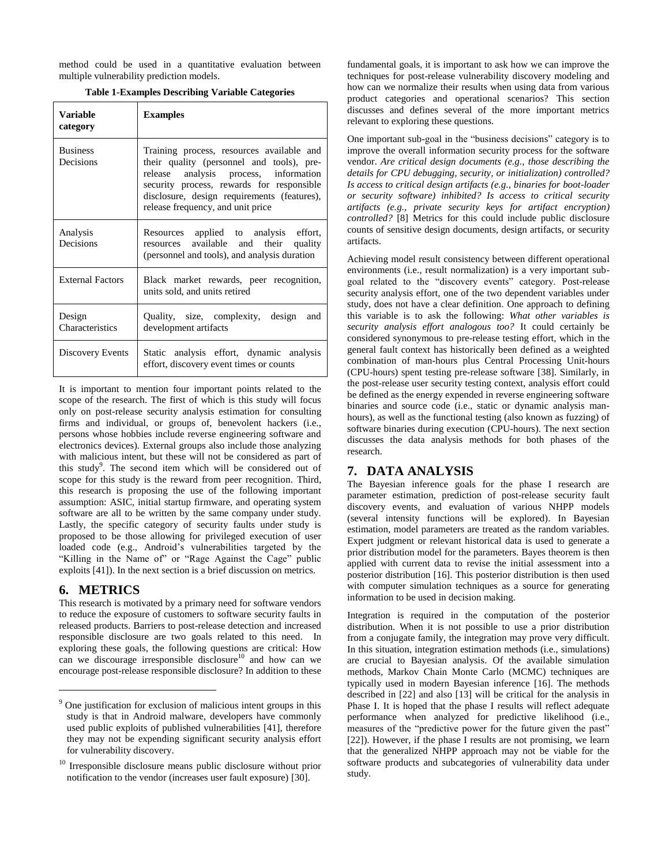method could be used in a quantitative evaluation between multiple vulnerability prediction models.

|  |  | <b>Table 1-Examples Describing Variable Categories</b> |  |  |
|--|--|--------------------------------------------------------|--|--|
|  |  |                                                        |  |  |

<span id="page-5-0"></span>

| <b>Variable</b><br>category  | <b>Examples</b>                                                                                                                                                                                                                                                  |  |  |  |  |
|------------------------------|------------------------------------------------------------------------------------------------------------------------------------------------------------------------------------------------------------------------------------------------------------------|--|--|--|--|
| <b>Business</b><br>Decisions | Training process, resources available and<br>their quality (personnel and tools), pre-<br>release analysis process, information<br>security process, rewards for responsible<br>disclosure, design requirements (features),<br>release frequency, and unit price |  |  |  |  |
| Analysis<br>Decisions        | Resources applied to analysis effort,<br>resources available and their quality<br>(personnel and tools), and analysis duration                                                                                                                                   |  |  |  |  |
| <b>External Factors</b>      | Black market rewards, peer recognition,<br>units sold, and units retired                                                                                                                                                                                         |  |  |  |  |
| Design<br>Characteristics    | Quality, size, complexity, design<br>and<br>development artifacts                                                                                                                                                                                                |  |  |  |  |
| Discovery Events             | Static analysis effort, dynamic analysis<br>effort, discovery event times or counts                                                                                                                                                                              |  |  |  |  |

It is important to mention four important points related to the scope of the research. The first of which is this study will focus only on post-release security analysis estimation for consulting firms and individual, or groups of, benevolent hackers (i.e., persons whose hobbies include reverse engineering software and electronics devices). External groups also include those analyzing with malicious intent, but these will not be considered as part of this study<sup>9</sup>. The second item which will be considered out of scope for this study is the reward from peer recognition. Third, this research is proposing the use of the following important assumption: ASIC, initial startup firmware, and operating system software are all to be written by the same company under study. Lastly, the specific category of security faults under study is proposed to be those allowing for privileged execution of user loaded code (e.g., Android's vulnerabilities targeted by the "Killing in the Name of" or "Rage Against the Cage" public exploits [\[41\]](#page-7-28)). In the next section is a brief discussion on metrics.

# **6. METRICS**

l

This research is motivated by a primary need for software vendors to reduce the exposure of customers to software security faults in released products. Barriers to post-release detection and increased responsible disclosure are two goals related to this need. In exploring these goals, the following questions are critical: How can we discourage irresponsible disclosure<sup>10</sup> and how can we encourage post-release responsible disclosure? In addition to these

fundamental goals, it is important to ask how we can improve the techniques for post-release vulnerability discovery modeling and how can we normalize their results when using data from various product categories and operational scenarios? This section discusses and defines several of the more important metrics relevant to exploring these questions.

One important sub-goal in the "business decisions" category is to improve the overall information security process for the software vendor. *Are critical design documents (e.g., those describing the details for CPU debugging, security, or initialization) controlled? Is access to critical design artifacts (e.g., binaries for boot-loader or security software) inhibited? Is access to critical security artifacts (e.g., private security keys for artifact encryption) controlled?* [\[8\]](#page-6-7) Metrics for this could include public disclosure counts of sensitive design documents, design artifacts, or security artifacts.

Achieving model result consistency between different operational environments (i.e., result normalization) is a very important subgoal related to the "discovery events" category. Post-release security analysis effort, one of the two dependent variables under study, does not have a clear definition. One approach to defining this variable is to ask the following: *What other variables is security analysis effort analogous too?* It could certainly be considered synonymous to pre-release testing effort, which in the general fault context has historically been defined as a weighted combination of man-hours plus Central Processing Unit-hours (CPU-hours) spent testing pre-release software [\[38\]](#page-7-19). Similarly, in the post-release user security testing context, analysis effort could be defined as the energy expended in reverse engineering software binaries and source code (i.e., static or dynamic analysis manhours), as well as the functional testing (also known as fuzzing) of software binaries during execution (CPU-hours). The next section discusses the data analysis methods for both phases of the research.

## **7. DATA ANALYSIS**

The Bayesian inference goals for the phase I research are parameter estimation, prediction of post-release security fault discovery events, and evaluation of various NHPP models (several intensity functions will be explored). In Bayesian estimation, model parameters are treated as the random variables. Expert judgment or relevant historical data is used to generate a prior distribution model for the parameters. Bayes theorem is then applied with current data to revise the initial assessment into a posterior distribution [\[16\]](#page-7-29). This posterior distribution is then used with computer simulation techniques as a source for generating information to be used in decision making.

Integration is required in the computation of the posterior distribution. When it is not possible to use a prior distribution from a conjugate family, the integration may prove very difficult. In this situation, integration estimation methods (i.e., simulations) are crucial to Bayesian analysis. Of the available simulation methods, Markov Chain Monte Carlo (MCMC) techniques are typically used in modern Bayesian inference [\[16\]](#page-7-29). The methods described in [\[22\]](#page-7-30) and also [\[13\]](#page-7-17) will be critical for the analysis in Phase I. It is hoped that the phase I results will reflect adequate performance when analyzed for predictive likelihood (i.e., measures of the "predictive power for the future given the past" [\[22\]](#page-7-30)). However, if the phase I results are not promising, we learn that the generalized NHPP approach may not be viable for the software products and subcategories of vulnerability data under study.

<sup>9</sup> One justification for exclusion of malicious intent groups in this study is that in Android malware, developers have commonly used public exploits of published vulnerabilities [\[41\]](#page-7-28), therefore they may not be expending significant security analysis effort for vulnerability discovery.

<sup>&</sup>lt;sup>10</sup> Irresponsible disclosure means public disclosure without prior notification to the vendor (increases user fault exposure) [\[30\]](#page-7-4).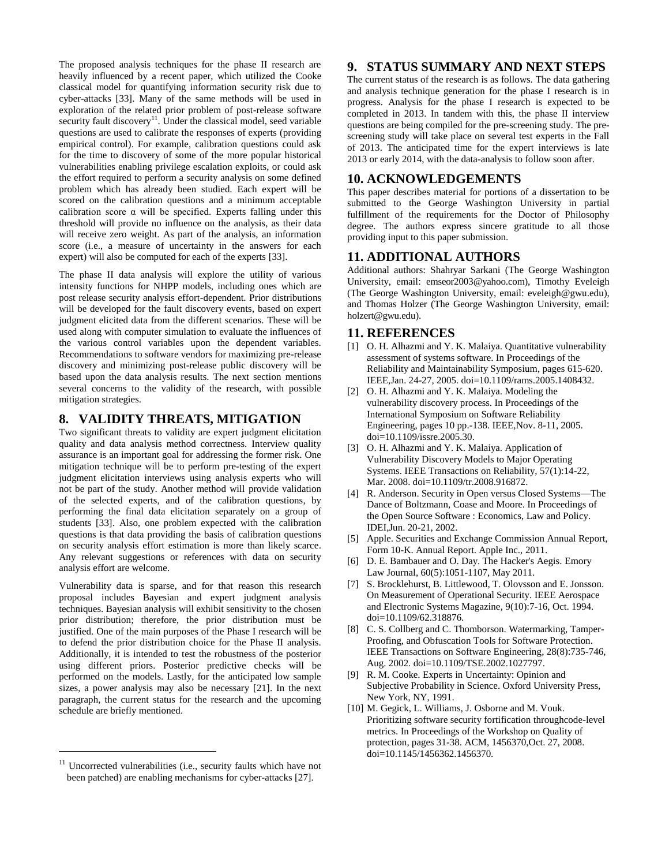The proposed analysis techniques for the phase II research are heavily influenced by a recent paper, which utilized the Cooke classical model for quantifying information security risk due to cyber-attacks [\[33\]](#page-7-16). Many of the same methods will be used in exploration of the related prior problem of post-release software security fault discovery<sup>11</sup>. Under the classical model, seed variable questions are used to calibrate the responses of experts (providing empirical control). For example, calibration questions could ask for the time to discovery of some of the more popular historical vulnerabilities enabling privilege escalation exploits, or could ask the effort required to perform a security analysis on some defined problem which has already been studied. Each expert will be scored on the calibration questions and a minimum acceptable calibration score  $\alpha$  will be specified. Experts falling under this threshold will provide no influence on the analysis, as their data will receive zero weight. As part of the analysis, an information score (i.e., a measure of uncertainty in the answers for each expert) will also be computed for each of the experts [\[33\]](#page-7-16).

The phase II data analysis will explore the utility of various intensity functions for NHPP models, including ones which are post release security analysis effort-dependent. Prior distributions will be developed for the fault discovery events, based on expert judgment elicited data from the different scenarios. These will be used along with computer simulation to evaluate the influences of the various control variables upon the dependent variables. Recommendations to software vendors for maximizing pre-release discovery and minimizing post-release public discovery will be based upon the data analysis results. The next section mentions several concerns to the validity of the research, with possible mitigation strategies.

### **8. VALIDITY THREATS, MITIGATION**

Two significant threats to validity are expert judgment elicitation quality and data analysis method correctness. Interview quality assurance is an important goal for addressing the former risk. One mitigation technique will be to perform pre-testing of the expert judgment elicitation interviews using analysis experts who will not be part of the study. Another method will provide validation of the selected experts, and of the calibration questions, by performing the final data elicitation separately on a group of students [\[33\]](#page-7-16). Also, one problem expected with the calibration questions is that data providing the basis of calibration questions on security analysis effort estimation is more than likely scarce. Any relevant suggestions or references with data on security analysis effort are welcome.

Vulnerability data is sparse, and for that reason this research proposal includes Bayesian and expert judgment analysis techniques. Bayesian analysis will exhibit sensitivity to the chosen prior distribution; therefore, the prior distribution must be justified. One of the main purposes of the Phase I research will be to defend the prior distribution choice for the Phase II analysis. Additionally, it is intended to test the robustness of the posterior using different priors. Posterior predictive checks will be performed on the models. Lastly, for the anticipated low sample sizes, a power analysis may also be necessary [\[21\]](#page-7-31). In the next paragraph, the current status for the research and the upcoming schedule are briefly mentioned.

l

# **9. STATUS SUMMARY AND NEXT STEPS**

The current status of the research is as follows. The data gathering and analysis technique generation for the phase I research is in progress. Analysis for the phase I research is expected to be completed in 2013. In tandem with this, the phase II interview questions are being compiled for the pre-screening study. The prescreening study will take place on several test experts in the Fall of 2013. The anticipated time for the expert interviews is late 2013 or early 2014, with the data-analysis to follow soon after.

## **10. ACKNOWLEDGEMENTS**

This paper describes material for portions of a dissertation to be submitted to the George Washington University in partial fulfillment of the requirements for the Doctor of Philosophy degree. The authors express sincere gratitude to all those providing input to this paper submission.

### **11. ADDITIONAL AUTHORS**

Additional authors: Shahryar Sarkani (The George Washington University, email: [emseor2003@yahoo.com\)](mailto:emseor2003@yahoo.com), Timothy Eveleigh (The George Washington University, email: [eveleigh@gwu.edu\)](mailto:eveleigh@gwu.edu), and Thomas Holzer (The George Washington University, email: [holzert@gwu.edu\)](mailto:holzert@gwu.edu).

## **11. REFERENCES**

- <span id="page-6-4"></span>[1] O. H. Alhazmi and Y. K. Malaiya. Quantitative vulnerability assessment of systems software. In Proceedings of the Reliability and Maintainability Symposium, pages 615-620. IEEE,Jan. 24-27, 2005. doi=10.1109/rams.2005.1408432.
- <span id="page-6-1"></span>[2] O. H. Alhazmi and Y. K. Malaiya. Modeling the vulnerability discovery process. In Proceedings of the International Symposium on Software Reliability Engineering, pages 10 pp.-138. IEEE,Nov. 8-11, 2005. doi=10.1109/issre.2005.30.
- <span id="page-6-5"></span>[3] O. H. Alhazmi and Y. K. Malaiya. Application of Vulnerability Discovery Models to Major Operating Systems. IEEE Transactions on Reliability, 57(1):14-22, Mar. 2008. doi=10.1109/tr.2008.916872.
- <span id="page-6-2"></span>[4] R. Anderson. Security in Open versus Closed Systems—The Dance of Boltzmann, Coase and Moore. In Proceedings of the Open Source Software : Economics, Law and Policy. IDEI,Jun. 20-21, 2002.
- <span id="page-6-0"></span>[5] Apple. Securities and Exchange Commission Annual Report, Form 10-K. Annual Report. Apple Inc., 2011.
- <span id="page-6-6"></span>[6] D. E. Bambauer and O. Day. The Hacker's Aegis. Emory Law Journal, 60(5):1051-1107, May 2011.
- <span id="page-6-8"></span>[7] S. Brocklehurst, B. Littlewood, T. Olovsson and E. Jonsson. On Measurement of Operational Security. IEEE Aerospace and Electronic Systems Magazine, 9(10):7-16, Oct. 1994. doi=10.1109/62.318876.
- <span id="page-6-7"></span>[8] C. S. Collberg and C. Thomborson. Watermarking, Tamper-Proofing, and Obfuscation Tools for Software Protection. IEEE Transactions on Software Engineering, 28(8):735-746, Aug. 2002. doi=10.1109/TSE.2002.1027797.
- <span id="page-6-9"></span>[9] R. M. Cooke. Experts in Uncertainty: Opinion and Subjective Probability in Science. Oxford University Press, New York, NY, 1991.
- <span id="page-6-3"></span>[10] M. Gegick, L. Williams, J. Osborne and M. Vouk. Prioritizing software security fortification throughcode-level metrics. In Proceedings of the Workshop on Quality of protection, pages 31-38. ACM, 1456370,Oct. 27, 2008. doi=10.1145/1456362.1456370.

 $11$  Uncorrected vulnerabilities (i.e., security faults which have not been patched) are enabling mechanisms for cyber-attacks [\[27\]](#page-7-18).